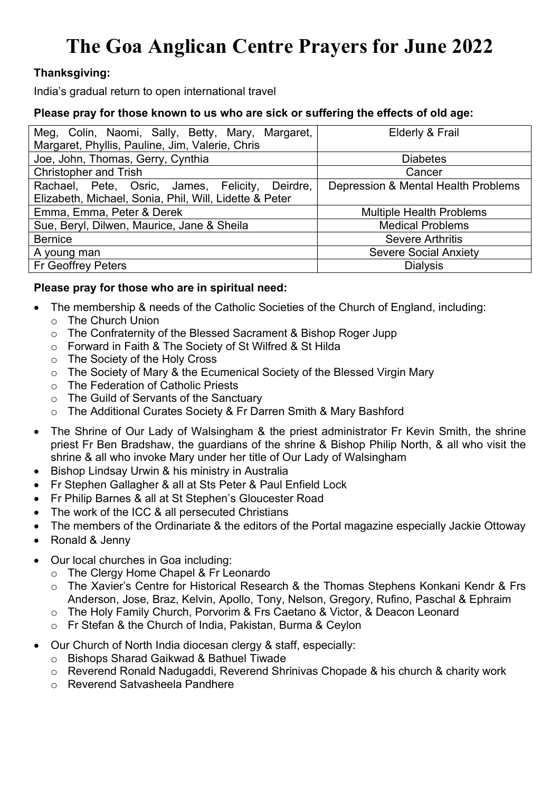# The Goa Anglican Centre Prayers for June 2022

## Thanksgiving:

India's gradual return to open international travel

#### Please pray for those known to us who are sick or suffering the effects of old age:

| Meg, Colin, Naomi, Sally, Betty, Mary, Margaret,<br>Margaret, Phyllis, Pauline, Jim, Valerie, Chris | Elderly & Frail                     |
|-----------------------------------------------------------------------------------------------------|-------------------------------------|
| Joe, John, Thomas, Gerry, Cynthia                                                                   | <b>Diabetes</b>                     |
| <b>Christopher and Trish</b>                                                                        | Cancer                              |
| Deirdre,<br>Rachael, Pete, Osric, James, Felicity,                                                  | Depression & Mental Health Problems |
| Elizabeth, Michael, Sonia, Phil, Will, Lidette & Peter                                              |                                     |
| Emma, Emma, Peter & Derek                                                                           | <b>Multiple Health Problems</b>     |
| Sue, Beryl, Dilwen, Maurice, Jane & Sheila                                                          | <b>Medical Problems</b>             |
| <b>Bernice</b>                                                                                      | <b>Severe Arthritis</b>             |
| A young man                                                                                         | <b>Severe Social Anxiety</b>        |
| <b>Fr Geoffrey Peters</b>                                                                           | <b>Dialysis</b>                     |

#### Please pray for those who are in spiritual need:

- The membership & needs of the Catholic Societies of the Church of England, including:
	- o The Church Union
	- o The Confraternity of the Blessed Sacrament & Bishop Roger Jupp
	- o Forward in Faith & The Society of St Wilfred & St Hilda
	- o The Society of the Holy Cross
	- o The Society of Mary & the Ecumenical Society of the Blessed Virgin Mary
	- o The Federation of Catholic Priests
	- o The Guild of Servants of the Sanctuary
	- o The Additional Curates Society & Fr Darren Smith & Mary Bashford
- The Shrine of Our Lady of Walsingham & the priest administrator Fr Kevin Smith, the shrine priest Fr Ben Bradshaw, the guardians of the shrine & Bishop Philip North, & all who visit the shrine & all who invoke Mary under her title of Our Lady of Walsingham
- Bishop Lindsay Urwin & his ministry in Australia
- Fr Stephen Gallagher & all at Sts Peter & Paul Enfield Lock
- Fr Philip Barnes & all at St Stephen's Gloucester Road
- The work of the ICC & all persecuted Christians
- The members of the Ordinariate & the editors of the Portal magazine especially Jackie Ottoway
- Ronald & Jenny
- Our local churches in Goa including:
	- o The Clergy Home Chapel & Fr Leonardo
	- o The Xavier's Centre for Historical Research & the Thomas Stephens Konkani Kendr & Frs Anderson, Jose, Braz, Kelvin, Apollo, Tony, Nelson, Gregory, Rufino, Paschal & Ephraim
	- o The Holy Family Church, Porvorim & Frs Caetano & Victor, & Deacon Leonard
	- o Fr Stefan & the Church of India, Pakistan, Burma & Ceylon
- Our Church of North India diocesan clergy & staff, especially:
	- o Bishops Sharad Gaikwad & Bathuel Tiwade
	- o Reverend Ronald Nadugaddi, Reverend Shrinivas Chopade & his church & charity work
	- o Reverend Satvasheela Pandhere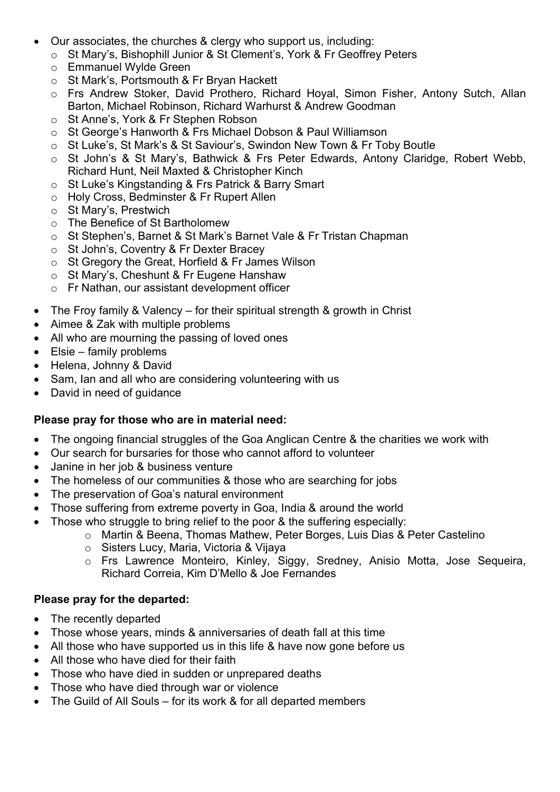- Our associates, the churches & clergy who support us, including:
	- o St Mary's, Bishophill Junior & St Clement's, York & Fr Geoffrey Peters
	- o Emmanuel Wylde Green
	- o St Mark's, Portsmouth & Fr Bryan Hackett
	- o Frs Andrew Stoker, David Prothero, Richard Hoyal, Simon Fisher, Antony Sutch, Allan Barton, Michael Robinson, Richard Warhurst & Andrew Goodman
	- o St Anne's, York & Fr Stephen Robson
	- o St George's Hanworth & Frs Michael Dobson & Paul Williamson
	- o St Luke's, St Mark's & St Saviour's, Swindon New Town & Fr Toby Boutle
	- o St John's & St Mary's, Bathwick & Frs Peter Edwards, Antony Claridge, Robert Webb, Richard Hunt, Neil Maxted & Christopher Kinch
	- o St Luke's Kingstanding & Frs Patrick & Barry Smart
	- o Holy Cross, Bedminster & Fr Rupert Allen
	- o St Mary's, Prestwich
	- o The Benefice of St Bartholomew
	- o St Stephen's, Barnet & St Mark's Barnet Vale & Fr Tristan Chapman
	- o St John's, Coventry & Fr Dexter Bracey
	- o St Gregory the Great, Horfield & Fr James Wilson
	- o St Mary's, Cheshunt & Fr Eugene Hanshaw
	- o Fr Nathan, our assistant development officer
- The Froy family & Valency for their spiritual strength & growth in Christ
- Aimee & Zak with multiple problems
- All who are mourning the passing of loved ones
- $\bullet$  Elsie family problems
- Helena, Johnny & David
- Sam, Ian and all who are considering volunteering with us
- David in need of quidance

## Please pray for those who are in material need:

- The ongoing financial struggles of the Goa Anglican Centre & the charities we work with
- Our search for bursaries for those who cannot afford to volunteer
- Janine in her job & business venture
- The homeless of our communities & those who are searching for jobs
- The preservation of Goa's natural environment
- Those suffering from extreme poverty in Goa, India & around the world
- Those who struggle to bring relief to the poor & the suffering especially:
	- o Martin & Beena, Thomas Mathew, Peter Borges, Luis Dias & Peter Castelino
	- o Sisters Lucy, Maria, Victoria & Vijaya
	- o Frs Lawrence Monteiro, Kinley, Siggy, Sredney, Anisio Motta, Jose Sequeira, Richard Correia, Kim D'Mello & Joe Fernandes

## Please pray for the departed:

- The recently departed
- Those whose years, minds & anniversaries of death fall at this time
- All those who have supported us in this life & have now gone before us
- All those who have died for their faith
- Those who have died in sudden or unprepared deaths
- Those who have died through war or violence
- The Guild of All Souls for its work & for all departed members